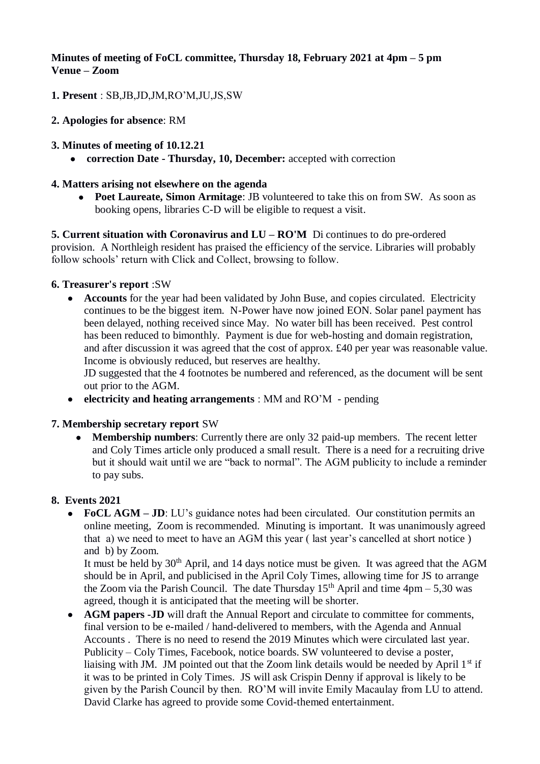# **Minutes of meeting of FoCL committee, Thursday 18, February 2021 at 4pm – 5 pm Venue – Zoom**

- **1. Present** : SB,JB,JD,JM,RO'M,JU,JS,SW
- **2. Apologies for absence**: RM
- **3. Minutes of meeting of 10.12.21**
	- **correction Date - Thursday, 10, December:** accepted with correction

### **4. Matters arising not elsewhere on the agenda**

 **Poet Laureate, Simon Armitage**: JB volunteered to take this on from SW. As soon as booking opens, libraries C-D will be eligible to request a visit.

**5. Current situation with Coronavirus and LU – RO'M** Di continues to do pre-ordered provision. A Northleigh resident has praised the efficiency of the service. Libraries will probably follow schools' return with Click and Collect, browsing to follow.

### **6. Treasurer's report** :SW

• **Accounts** for the year had been validated by John Buse, and copies circulated. Electricity continues to be the biggest item. N-Power have now joined EON. Solar panel payment has been delayed, nothing received since May. No water bill has been received. Pest control has been reduced to bimonthly. Payment is due for web-hosting and domain registration, and after discussion it was agreed that the cost of approx. £40 per year was reasonable value. Income is obviously reduced, but reserves are healthy.

JD suggested that the 4 footnotes be numbered and referenced, as the document will be sent out prior to the AGM.

**electricity and heating arrangements** : MM and RO'M - pending

## **7. Membership secretary report** SW

 **Membership numbers**: Currently there are only 32 paid-up members. The recent letter and Coly Times article only produced a small result. There is a need for a recruiting drive but it should wait until we are "back to normal". The AGM publicity to include a reminder to pay subs.

## **8. Events 2021**

 **FoCL AGM – JD**: LU's guidance notes had been circulated. Our constitution permits an online meeting, Zoom is recommended. Minuting is important. It was unanimously agreed that a) we need to meet to have an AGM this year ( last year's cancelled at short notice ) and b) by Zoom.

It must be held by  $30<sup>th</sup>$  April, and 14 days notice must be given. It was agreed that the AGM should be in April, and publicised in the April Coly Times, allowing time for JS to arrange the Zoom via the Parish Council. The date Thursday  $15<sup>th</sup>$  April and time  $4pm - 5,30$  was agreed, though it is anticipated that the meeting will be shorter.

• **AGM papers -JD** will draft the Annual Report and circulate to committee for comments, final version to be e-mailed / hand-delivered to members, with the Agenda and Annual Accounts . There is no need to resend the 2019 Minutes which were circulated last year. Publicity – Coly Times, Facebook, notice boards. SW volunteered to devise a poster, liaising with JM. JM pointed out that the Zoom link details would be needed by April  $1<sup>st</sup>$  if it was to be printed in Coly Times. JS will ask Crispin Denny if approval is likely to be given by the Parish Council by then. RO'M will invite Emily Macaulay from LU to attend. David Clarke has agreed to provide some Covid-themed entertainment.